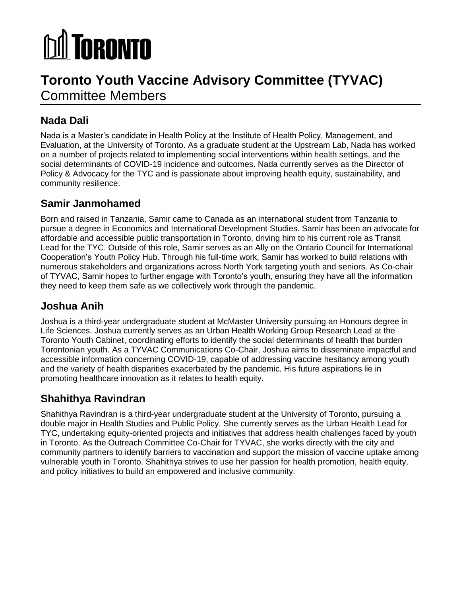# **M** TORONTO

# **Toronto Youth Vaccine Advisory Committee (TYVAC)** Committee Members

## **Nada Dali**

Nada is a Master's candidate in Health Policy at the Institute of Health Policy, Management, and Evaluation, at the University of Toronto. As a graduate student at the Upstream Lab, Nada has worked on a number of projects related to implementing social interventions within health settings, and the social determinants of COVID-19 incidence and outcomes. Nada currently serves as the Director of Policy & Advocacy for the TYC and is passionate about improving health equity, sustainability, and community resilience.

#### **Samir Janmohamed**

Born and raised in Tanzania, Samir came to Canada as an international student from Tanzania to pursue a degree in Economics and International Development Studies. Samir has been an advocate for affordable and accessible public transportation in Toronto, driving him to his current role as Transit Lead for the TYC. Outside of this role, Samir serves as an Ally on the Ontario Council for International Cooperation's Youth Policy Hub. Through his full-time work, Samir has worked to build relations with numerous stakeholders and organizations across North York targeting youth and seniors. As Co-chair of TYVAC, Samir hopes to further engage with Toronto's youth, ensuring they have all the information they need to keep them safe as we collectively work through the pandemic.

#### **Joshua Anih**

Joshua is a third-year undergraduate student at McMaster University pursuing an Honours degree in Life Sciences. Joshua currently serves as an Urban Health Working Group Research Lead at the Toronto Youth Cabinet, coordinating efforts to identify the social determinants of health that burden Torontonian youth. As a TYVAC Communications Co-Chair, Joshua aims to disseminate impactful and accessible information concerning COVID-19, capable of addressing vaccine hesitancy among youth and the variety of health disparities exacerbated by the pandemic. His future aspirations lie in promoting healthcare innovation as it relates to health equity.

#### **Shahithya Ravindran**

Shahithya Ravindran is a third-year undergraduate student at the University of Toronto, pursuing a double major in Health Studies and Public Policy. She currently serves as the Urban Health Lead for TYC, undertaking equity-oriented projects and initiatives that address health challenges faced by youth in Toronto. As the Outreach Committee Co-Chair for TYVAC, she works directly with the city and community partners to identify barriers to vaccination and support the mission of vaccine uptake among vulnerable youth in Toronto. Shahithya strives to use her passion for health promotion, health equity, and policy initiatives to build an empowered and inclusive community.